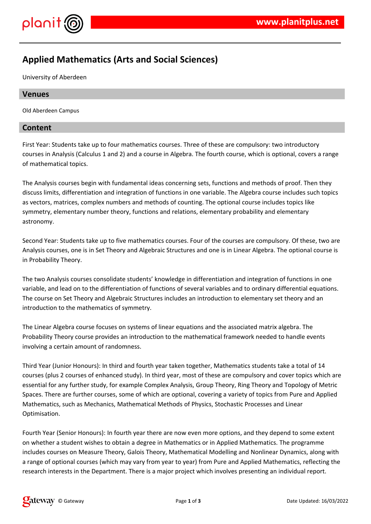

# **Applied Mathematics (Arts and Social Sciences)**

University of Aberdeen

## **Venues**

Old Aberdeen Campus

## **Content**

First Year: Students take up to four mathematics courses. Three of these are compulsory: two introductory courses in Analysis (Calculus 1 and 2) and a course in Algebra. The fourth course, which is optional, covers a range of mathematical topics.

The Analysis courses begin with fundamental ideas concerning sets, functions and methods of proof. Then they discuss limits, differentiation and integration of functions in one variable. The Algebra course includes such topics as vectors, matrices, complex numbers and methods of counting. The optional course includes topics like symmetry, elementary number theory, functions and relations, elementary probability and elementary astronomy.

Second Year: Students take up to five mathematics courses. Four of the courses are compulsory. Of these, two are Analysis courses, one is in Set Theory and Algebraic Structures and one is in Linear Algebra. The optional course is in Probability Theory.

The two Analysis courses consolidate students' knowledge in differentiation and integration of functions in one variable, and lead on to the differentiation of functions of several variables and to ordinary differential equations. The course on Set Theory and Algebraic Structures includes an introduction to elementary set theory and an introduction to the mathematics of symmetry.

The Linear Algebra course focuses on systems of linear equations and the associated matrix algebra. The Probability Theory course provides an introduction to the mathematical framework needed to handle events involving a certain amount of randomness.

Third Year (Junior Honours): In third and fourth year taken together, Mathematics students take a total of 14 courses (plus 2 courses of enhanced study). In third year, most of these are compulsory and cover topics which are essential for any further study, for example Complex Analysis, Group Theory, Ring Theory and Topology of Metric Spaces. There are further courses, some of which are optional, covering a variety of topics from Pure and Applied Mathematics, such as Mechanics, Mathematical Methods of Physics, Stochastic Processes and Linear Optimisation.

Fourth Year (Senior Honours): In fourth year there are now even more options, and they depend to some extent on whether a student wishes to obtain a degree in Mathematics or in Applied Mathematics. The programme includes courses on Measure Theory, Galois Theory, Mathematical Modelling and Nonlinear Dynamics, along with a range of optional courses (which may vary from year to year) from Pure and Applied Mathematics, reflecting the research interests in the Department. There is a major project which involves presenting an individual report.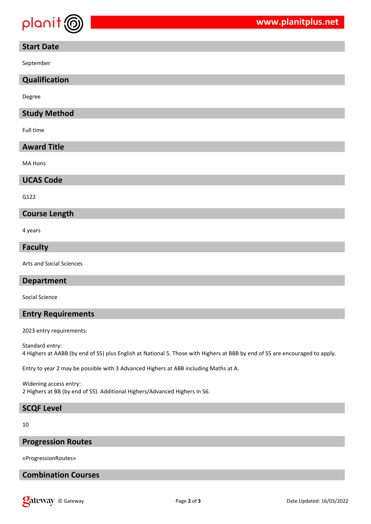

## **Start Date**

September

## **Qualification**

Degree

## **Study Method**

Full time

## **Award Title**

MA Hons

#### **UCAS Code**

G122

#### **Course Length**

4 years

#### **Faculty**

Arts and Social Sciences

#### **Department**

Social Science

## **Entry Requirements**

2023 entry requirements:

Standard entry: 4 Highers at AABB (by end of S5) plus English at National 5. Those with Highers at BBB by end of S5 are encouraged to apply.

Entry to year 2 may be possible with 3 Advanced Highers at ABB including Maths at A.

Widening access entry: 2 Highers at BB (by end of S5). Additional Highers/Advanced Highers in S6.

# **SCQF Level**

10

#### **Progression Routes**

«ProgressionRoutes»

## **Combination Courses**

**Qateway** © Gateway **COVID-16 COVID-2012** Page 2 of 3 Date Updated: 16/03/2022